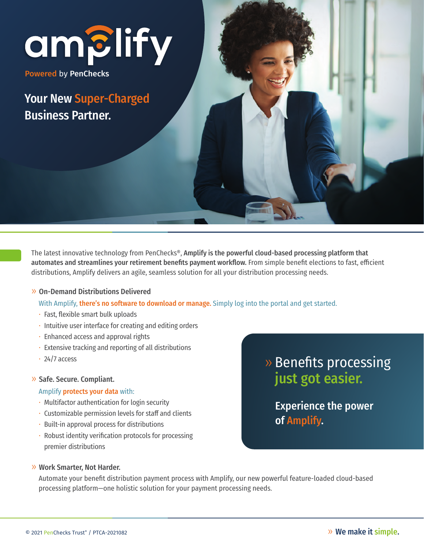# amBlify

Powered by PenChecks

Your New Super-Charged Business Partner.

The latest innovative technology from PenChecks®, Amplify is the powerful cloud-based processing platform that automates and streamlines your retirement benefits payment workflow. From simple benefit elections to fast, efficient distributions, Amplify delivers an agile, seamless solution for all your distribution processing needs.

### » On-Demand Distributions Delivered

With Amplify, there's no software to download or manage. Simply log into the portal and get started.

- Fast, flexible smart bulk uploads
- Intuitive user interface for creating and editing orders
- Enhanced access and approval rights
- Extensive tracking and reporting of all distributions
- $\cdot$  24/7 access

#### » Safe. Secure. Compliant.

#### Amplify protects your data with:

- Multifactor authentication for login security
- $\cdot$  Customizable permission levels for staff and clients
- Built-in approval process for distributions
- Robust identity verification protocols for processing premier distributions

## » Benefits processing just got easier.

 Experience the power of Amplify.

#### » Work Smarter, Not Harder.

 Automate your benefit distribution payment process with Amplify, our new powerful feature-loaded cloud-based processing platform—one holistic solution for your payment processing needs.